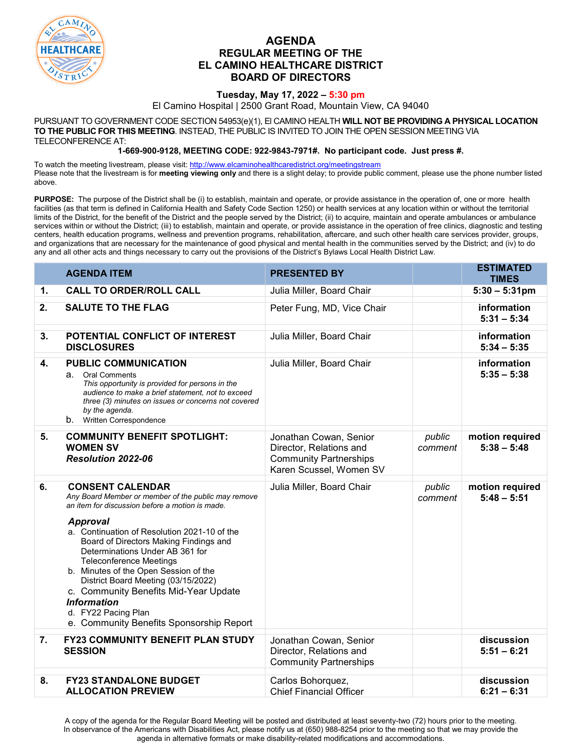

## **AGENDA REGULAR MEETING OF THE EL CAMINO HEALTHCARE DISTRICT BOARD OF DIRECTORS**

## **Tuesday, May 17, 2022 – 5:30 pm**

El Camino Hospital | 2500 Grant Road, Mountain View, CA 94040

PURSUANT TO GOVERNMENT CODE SECTION 54953(e)(1), El CAMINO HEALTH **WILL NOT BE PROVIDING A PHYSICAL LOCATION TO THE PUBLIC FOR THIS MEETING**. INSTEAD, THE PUBLIC IS INVITED TO JOIN THE OPEN SESSION MEETING VIA TELECONFERENCE AT:

**1-669-900-9128, MEETING CODE: 922-9843-7971#. No participant code. Just press #.**

To watch the meeting livestream, please visit[: http://www.elcaminohealthcaredistrict.org/meetingstream](http://www.elcaminohealthcaredistrict.org/meetingstream) Please note that the livestream is for **meeting viewing only** and there is a slight delay; to provide public comment, please use the phone number listed above.

**PURPOSE:** The purpose of the District shall be (i) to establish, maintain and operate, or provide assistance in the operation of, one or more health facilities (as that term is defined in California Health and Safety Code Section 1250) or health services at any location within or without the territorial limits of the District, for the benefit of the District and the people served by the District; (ii) to acquire, maintain and operate ambulances or ambulance services within or without the District; (iii) to establish, maintain and operate, or provide assistance in the operation of free clinics, diagnostic and testing centers, health education programs, wellness and prevention programs, rehabilitation, aftercare, and such other health care services provider, groups, and organizations that are necessary for the maintenance of good physical and mental health in the communities served by the District; and (iv) to do any and all other acts and things necessary to carry out the provisions of the District's Bylaws Local Health District Law.

|                | <b>AGENDA ITEM</b>                                                                                                                                                                                                                                                                                                                                                                                                                                                                                                                    | <b>PRESENTED BY</b>                                                                                           |                   | <b>ESTIMATED</b><br><b>TIMES</b> |
|----------------|---------------------------------------------------------------------------------------------------------------------------------------------------------------------------------------------------------------------------------------------------------------------------------------------------------------------------------------------------------------------------------------------------------------------------------------------------------------------------------------------------------------------------------------|---------------------------------------------------------------------------------------------------------------|-------------------|----------------------------------|
| $\mathbf{1}$ . | <b>CALL TO ORDER/ROLL CALL</b>                                                                                                                                                                                                                                                                                                                                                                                                                                                                                                        | Julia Miller, Board Chair                                                                                     |                   | $5:30 - 5:31$ pm                 |
| 2.             | <b>SALUTE TO THE FLAG</b>                                                                                                                                                                                                                                                                                                                                                                                                                                                                                                             | Peter Fung, MD, Vice Chair                                                                                    |                   | information<br>$5:31 - 5:34$     |
| 3.             | POTENTIAL CONFLICT OF INTEREST<br><b>DISCLOSURES</b>                                                                                                                                                                                                                                                                                                                                                                                                                                                                                  | Julia Miller, Board Chair                                                                                     |                   | information<br>$5:34 - 5:35$     |
| 4.             | <b>PUBLIC COMMUNICATION</b><br><b>Oral Comments</b><br>а.<br>This opportunity is provided for persons in the<br>audience to make a brief statement, not to exceed<br>three (3) minutes on issues or concerns not covered<br>by the agenda.<br><b>b.</b> Written Correspondence                                                                                                                                                                                                                                                        | Julia Miller, Board Chair                                                                                     |                   | information<br>$5:35 - 5:38$     |
| 5.             | <b>COMMUNITY BENEFIT SPOTLIGHT:</b><br><b>WOMEN SV</b><br>Resolution 2022-06                                                                                                                                                                                                                                                                                                                                                                                                                                                          | Jonathan Cowan, Senior<br>Director, Relations and<br><b>Community Partnerships</b><br>Karen Scussel, Women SV | public<br>comment | motion required<br>$5:38 - 5:48$ |
| 6.             | <b>CONSENT CALENDAR</b><br>Any Board Member or member of the public may remove<br>an item for discussion before a motion is made.<br><b>Approval</b><br>a. Continuation of Resolution 2021-10 of the<br>Board of Directors Making Findings and<br>Determinations Under AB 361 for<br><b>Teleconference Meetings</b><br>b. Minutes of the Open Session of the<br>District Board Meeting (03/15/2022)<br>c. Community Benefits Mid-Year Update<br><b>Information</b><br>d. FY22 Pacing Plan<br>e. Community Benefits Sponsorship Report | Julia Miller, Board Chair                                                                                     | public<br>comment | motion required<br>$5:48 - 5:51$ |
| 7.             | <b>FY23 COMMUNITY BENEFIT PLAN STUDY</b><br><b>SESSION</b>                                                                                                                                                                                                                                                                                                                                                                                                                                                                            | Jonathan Cowan, Senior<br>Director, Relations and<br><b>Community Partnerships</b>                            |                   | discussion<br>$5:51 - 6:21$      |
| 8.             | <b>FY23 STANDALONE BUDGET</b><br><b>ALLOCATION PREVIEW</b>                                                                                                                                                                                                                                                                                                                                                                                                                                                                            | Carlos Bohorquez,<br><b>Chief Financial Officer</b>                                                           |                   | discussion<br>$6:21 - 6:31$      |

A copy of the agenda for the Regular Board Meeting will be posted and distributed at least seventy-two (72) hours prior to the meeting. In observance of the Americans with Disabilities Act, please notify us at (650) 988-8254 prior to the meeting so that we may provide the agenda in alternative formats or make disability-related modifications and accommodations.